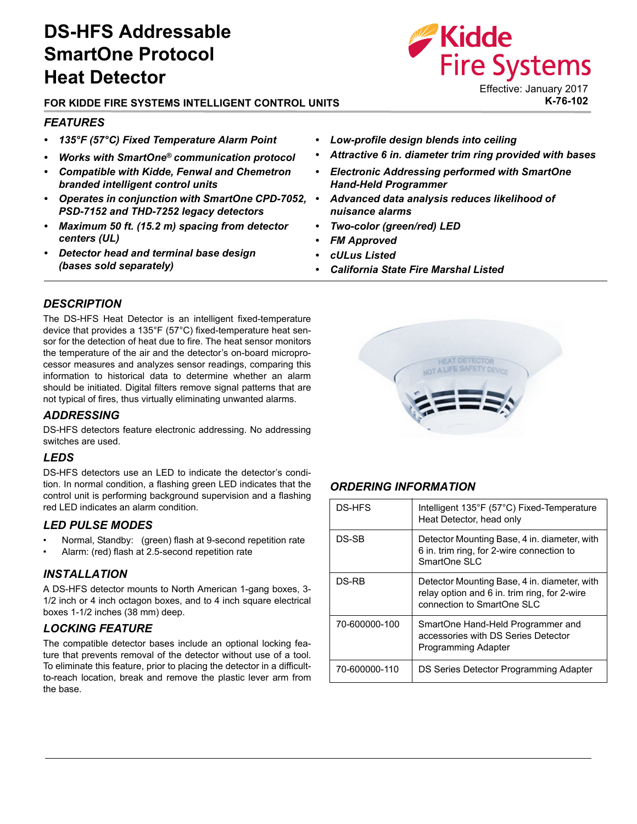# **DS-HFS Addressable SmartOne Protocol Heat Detector**

## **FOR KIDDE FIRE SYSTEMS INTELLIGENT CONTROL UNITS**

#### *FEATURES*

- *135°F (57°C) Fixed Temperature Alarm Point*
- *Works with SmartOne® communication protocol*
- *Compatible with Kidde, Fenwal and Chemetron branded intelligent control units*
- *Operates in conjunction with SmartOne CPD-7052, PSD-7152 and THD-7252 legacy detectors*
- *Maximum 50 ft. (15.2 m) spacing from detector centers (UL)*
- *Detector head and terminal base design (bases sold separately)*
- *Low-profile design blends into ceiling*
- *Attractive 6 in. diameter trim ring provided with bases*
- *Electronic Addressing performed with SmartOne Hand-Held Programmer*
- *Advanced data analysis reduces likelihood of nuisance alarms*
- *Two-color (green/red) LED*
- *FM Approved*
- *cULus Listed*
- *California State Fire Marshal Listed*

## *DESCRIPTION*

The DS-HFS Heat Detector is an intelligent fixed-temperature device that provides a 135°F (57°C) fixed-temperature heat sensor for the detection of heat due to fire. The heat sensor monitors the temperature of the air and the detector's on-board microprocessor measures and analyzes sensor readings, comparing this information to historical data to determine whether an alarm should be initiated. Digital filters remove signal patterns that are not typical of fires, thus virtually eliminating unwanted alarms.

#### *ADDRESSING*

DS-HFS detectors feature electronic addressing. No addressing switches are used.

#### *LEDS*

DS-HFS detectors use an LED to indicate the detector's condition. In normal condition, a flashing green LED indicates that the control unit is performing background supervision and a flashing red LED indicates an alarm condition.

## *LED PULSE MODES*

- Normal, Standby: (green) flash at 9-second repetition rate
- Alarm: (red) flash at 2.5-second repetition rate

## *INSTALLATION*

A DS-HFS detector mounts to North American 1-gang boxes, 3- 1/2 inch or 4 inch octagon boxes, and to 4 inch square electrical boxes 1-1/2 inches (38 mm) deep.

## *LOCKING FEATURE*

The compatible detector bases include an optional locking feature that prevents removal of the detector without use of a tool. To eliminate this feature, prior to placing the detector in a difficultto-reach location, break and remove the plastic lever arm from the base.



## *ORDERING INFORMATION*

| DS-HFS        | Intelligent 135°F (57°C) Fixed-Temperature<br>Heat Detector, head only                                                     |
|---------------|----------------------------------------------------------------------------------------------------------------------------|
| DS-SB         | Detector Mounting Base, 4 in. diameter, with<br>6 in. trim ring, for 2-wire connection to<br>SmartOne SLC                  |
| DS-RB         | Detector Mounting Base, 4 in. diameter, with<br>relay option and 6 in. trim ring, for 2-wire<br>connection to SmartOne SLC |
| 70-600000-100 | SmartOne Hand-Held Programmer and<br>accessories with DS Series Detector<br>Programming Adapter                            |
| 70-600000-110 | DS Series Detector Programming Adapter                                                                                     |



**K-76-102**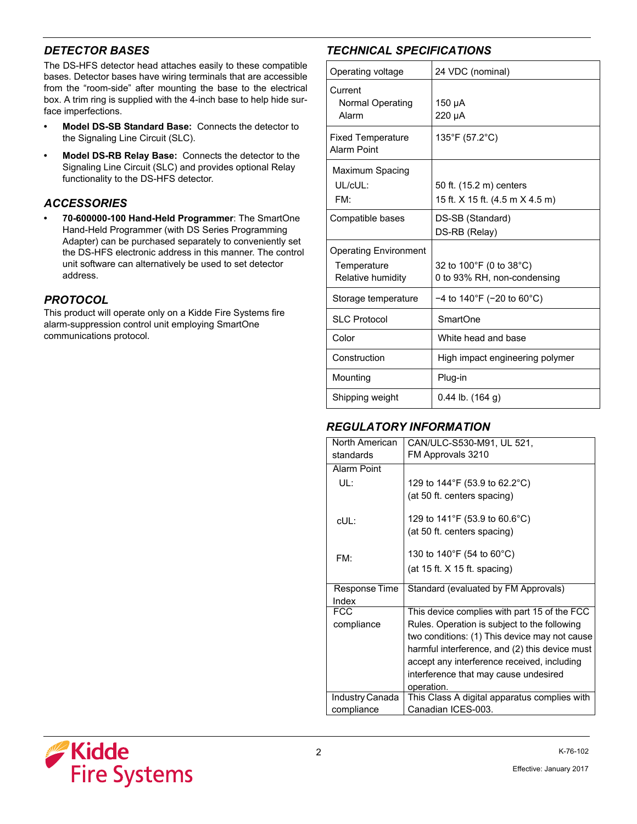## *DETECTOR BASES*

The DS-HFS detector head attaches easily to these compatible bases. Detector bases have wiring terminals that are accessible from the "room-side" after mounting the base to the electrical box. A trim ring is supplied with the 4-inch base to help hide surface imperfections.

- **Model DS-SB Standard Base:** Connects the detector to the Signaling Line Circuit (SLC).
- **Model DS-RB Relay Base:** Connects the detector to the Signaling Line Circuit (SLC) and provides optional Relay functionality to the DS-HFS detector.

## *ACCESSORIES*

**• 70-600000-100 Hand-Held Programmer**: The SmartOne Hand-Held Programmer (with DS Series Programming Adapter) can be purchased separately to conveniently set the DS-HFS electronic address in this manner. The control unit software can alternatively be used to set detector address.

## *PROTOCOL*

This product will operate only on a Kidde Fire Systems fire alarm-suppression control unit employing SmartOne communications protocol.

## *TECHNICAL SPECIFICATIONS*

| Operating voltage                       | 24 VDC (nominal)                  |
|-----------------------------------------|-----------------------------------|
| Current<br>Normal Operating<br>Alarm    | 150 µA<br>220 µA                  |
| <b>Fixed Temperature</b><br>Alarm Point | 135°F (57.2°C)                    |
| Maximum Spacing                         |                                   |
| $UL/CLH$ :                              | 50 ft. (15.2 m) centers           |
| FM·                                     | 15 ft. X 15 ft. (4.5 m X 4.5 m)   |
| Compatible bases                        | DS-SB (Standard)<br>DS-RB (Relay) |
| <b>Operating Environment</b>            |                                   |
| Temperature                             | 32 to 100°F (0 to 38°C)           |
| Relative humidity                       | 0 to 93% RH, non-condensing       |
| Storage temperature                     | $-4$ to 140°F (-20 to 60°C)       |
| <b>SLC Protocol</b>                     | SmartOne                          |
| Color                                   | White head and base               |
| Construction                            | High impact engineering polymer   |
| Mounting                                | Plug-in                           |
| Shipping weight                         | 0.44 lb. (164 g)                  |

## *REGULATORY INFORMATION*

| North American  | CAN/ULC-S530-M91, UL 521,                      |
|-----------------|------------------------------------------------|
| standards       | FM Approvals 3210                              |
| Alarm Point     |                                                |
| UL:             | 129 to 144°F (53.9 to 62.2°C)                  |
|                 | (at 50 ft. centers spacing)                    |
| cUL :           | 129 to 141°F (53.9 to 60.6°C)                  |
|                 | (at 50 ft. centers spacing)                    |
| FM:             | 130 to 140°F (54 to 60°C)                      |
|                 | (at 15 ft. $X$ 15 ft. spacing)                 |
| Response Time   | Standard (evaluated by FM Approvals)           |
| Index           |                                                |
| <b>FCC</b>      | This device complies with part 15 of the FCC   |
| compliance      | Rules. Operation is subject to the following   |
|                 | two conditions: (1) This device may not cause  |
|                 | harmful interference, and (2) this device must |
|                 | accept any interference received, including    |
|                 | interference that may cause undesired          |
|                 | operation.                                     |
| Industry Canada | This Class A digital apparatus complies with   |
| compliance      | Canadian ICES-003.                             |

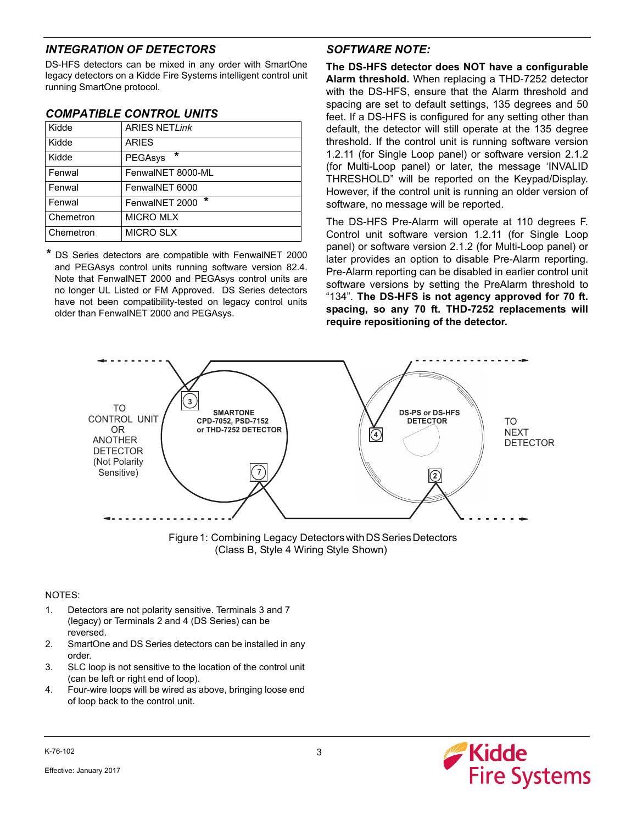## *INTEGRATION OF DETECTORS*

DS-HFS detectors can be mixed in any order with SmartOne legacy detectors on a Kidde Fire Systems intelligent control unit running SmartOne protocol.

#### *COMPATIBLE CONTROL UNITS*

| Kidde     | <b>ARIES NETLink</b>     |
|-----------|--------------------------|
| Kidde     | <b>ARIES</b>             |
| Kidde     | ÷<br><b>PEGAsys</b>      |
| Fenwal    | FenwaINET 8000-ML        |
| Fenwal    | FenwalNET 6000           |
| Fenwal    | $\ast$<br>FenwalNET 2000 |
| Chemetron | MICRO MLX                |
| Chemetron | <b>MICRO SLX</b>         |

*\** DS Series detectors are compatible with FenwalNET 2000 and PEGAsys control units running software version 82.4. Note that FenwalNET 2000 and PEGAsys control units are no longer UL Listed or FM Approved. DS Series detectors have not been compatibility-tested on legacy control units older than FenwalNET 2000 and PEGAsys.

## *SOFTWARE NOTE:*

**The DS-HFS detector does NOT have a configurable Alarm threshold.** When replacing a THD-7252 detector with the DS-HFS, ensure that the Alarm threshold and spacing are set to default settings, 135 degrees and 50 feet. If a DS-HFS is configured for any setting other than default, the detector will still operate at the 135 degree threshold. If the control unit is running software version 1.2.11 (for Single Loop panel) or software version 2.1.2 (for Multi-Loop panel) or later, the message 'INVALID THRESHOLD" will be reported on the Keypad/Display. However, if the control unit is running an older version of software, no message will be reported.

The DS-HFS Pre-Alarm will operate at 110 degrees F. Control unit software version 1.2.11 (for Single Loop panel) or software version 2.1.2 (for Multi-Loop panel) or later provides an option to disable Pre-Alarm reporting. Pre-Alarm reporting can be disabled in earlier control unit software versions by setting the PreAlarm threshold to "134". **The DS-HFS is not agency approved for 70 ft. spacing, so any 70 ft. THD-7252 replacements will require repositioning of the detector.** 



Figure 1: Combining Legacy Detectors with DS Series Detectors (Class B, Style 4 Wiring Style Shown)

#### NOTES:

- 1. Detectors are not polarity sensitive. Terminals 3 and 7 (legacy) or Terminals 2 and 4 (DS Series) can be reversed.
- 2. SmartOne and DS Series detectors can be installed in any order.
- 3. SLC loop is not sensitive to the location of the control unit (can be left or right end of loop).
- 4. Four-wire loops will be wired as above, bringing loose end of loop back to the control unit.